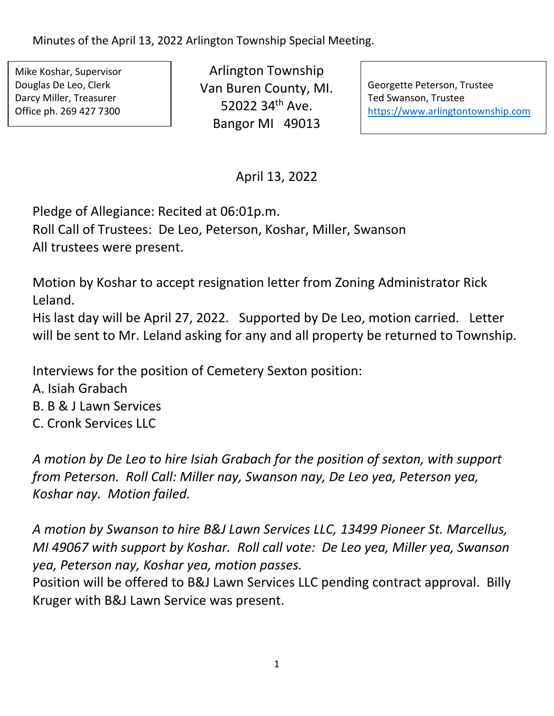Minutes of the April 13, 2022 Arlington Township Special Meeting.

Mike Koshar, Supervisor Douglas De Leo, Clerk Darcy Miller, Treasurer Office ph. 269 427 7300

Arlington Township Van Buren County, MI. 52022 34th Ave. Bangor MI 49013

Georgette Peterson, Trustee Ted Swanson, Trustee [https://www.arlingtontownship.com](https://www.arlingtontownship.com/)

April 13, 2022

Pledge of Allegiance: Recited at 06:01p.m.

Roll Call of Trustees: De Leo, Peterson, Koshar, Miller, Swanson All trustees were present.

Motion by Koshar to accept resignation letter from Zoning Administrator Rick Leland.

His last day will be April 27, 2022. Supported by De Leo, motion carried. Letter will be sent to Mr. Leland asking for any and all property be returned to Township.

Interviews for the position of Cemetery Sexton position:

- A. Isiah Grabach
- B. B & J Lawn Services
- C. Cronk Services LLC

*A motion by De Leo to hire Isiah Grabach for the position of sexton, with support from Peterson. Roll Call: Miller nay, Swanson nay, De Leo yea, Peterson yea, Koshar nay. Motion failed.* 

*A motion by Swanson to hire B&J Lawn Services LLC, 13499 Pioneer St. Marcellus, MI 49067 with support by Koshar. Roll call vote: De Leo yea, Miller yea, Swanson yea, Peterson nay, Koshar yea, motion passes.* 

Position will be offered to B&J Lawn Services LLC pending contract approval. Billy Kruger with B&J Lawn Service was present.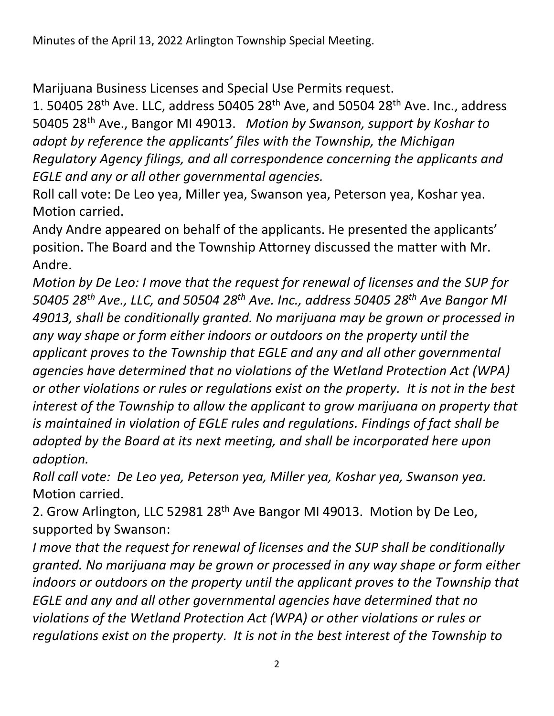Marijuana Business Licenses and Special Use Permits request.

1. 50405 28<sup>th</sup> Ave. LLC, address 50405 28<sup>th</sup> Ave, and 50504 28<sup>th</sup> Ave. Inc., address 50405 28th Ave., Bangor MI 49013. *Motion by Swanson, support by Koshar to adopt by reference the applicants' files with the Township, the Michigan Regulatory Agency filings, and all correspondence concerning the applicants and EGLE and any or all other governmental agencies.*

Roll call vote: De Leo yea, Miller yea, Swanson yea, Peterson yea, Koshar yea. Motion carried.

Andy Andre appeared on behalf of the applicants. He presented the applicants' position. The Board and the Township Attorney discussed the matter with Mr. Andre.

*Motion by De Leo: I move that the request for renewal of licenses and the SUP for 50405 28th Ave., LLC, and 50504 28th Ave. Inc., address 50405 28th Ave Bangor MI 49013, shall be conditionally granted. No marijuana may be grown or processed in any way shape or form either indoors or outdoors on the property until the applicant proves to the Township that EGLE and any and all other governmental agencies have determined that no violations of the Wetland Protection Act (WPA) or other violations or rules or regulations exist on the property. It is not in the best interest of the Township to allow the applicant to grow marijuana on property that is maintained in violation of EGLE rules and regulations. Findings of fact shall be adopted by the Board at its next meeting, and shall be incorporated here upon adoption.* 

*Roll call vote: De Leo yea, Peterson yea, Miller yea, Koshar yea, Swanson yea.* Motion carried.

2. Grow Arlington, LLC 52981 28th Ave Bangor MI 49013. Motion by De Leo, supported by Swanson:

*I move that the request for renewal of licenses and the SUP shall be conditionally granted. No marijuana may be grown or processed in any way shape or form either indoors or outdoors on the property until the applicant proves to the Township that EGLE and any and all other governmental agencies have determined that no violations of the Wetland Protection Act (WPA) or other violations or rules or regulations exist on the property. It is not in the best interest of the Township to*